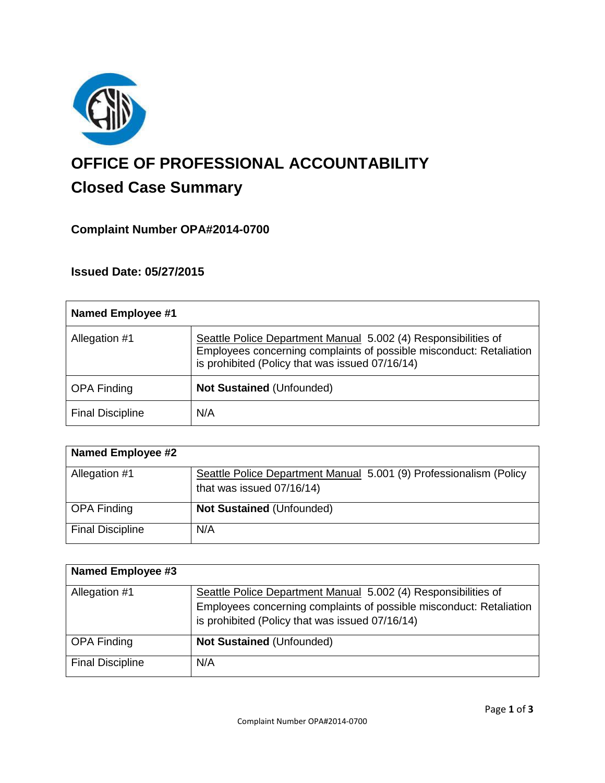

# **OFFICE OF PROFESSIONAL ACCOUNTABILITY Closed Case Summary**

# **Complaint Number OPA#2014-0700**

# **Issued Date: 05/27/2015**

| <b>Named Employee #1</b> |                                                                                                                                                                                          |
|--------------------------|------------------------------------------------------------------------------------------------------------------------------------------------------------------------------------------|
| Allegation #1            | Seattle Police Department Manual 5.002 (4) Responsibilities of<br>Employees concerning complaints of possible misconduct: Retaliation<br>is prohibited (Policy that was issued 07/16/14) |
| <b>OPA Finding</b>       | <b>Not Sustained (Unfounded)</b>                                                                                                                                                         |
| <b>Final Discipline</b>  | N/A                                                                                                                                                                                      |

| <b>Named Employee #2</b> |                                                                    |
|--------------------------|--------------------------------------------------------------------|
| Allegation #1            | Seattle Police Department Manual 5.001 (9) Professionalism (Policy |
|                          | that was issued 07/16/14)                                          |
| <b>OPA Finding</b>       | <b>Not Sustained (Unfounded)</b>                                   |
| <b>Final Discipline</b>  | N/A                                                                |

| <b>Named Employee #3</b> |                                                                     |
|--------------------------|---------------------------------------------------------------------|
| Allegation #1            | Seattle Police Department Manual 5.002 (4) Responsibilities of      |
|                          | Employees concerning complaints of possible misconduct: Retaliation |
|                          | is prohibited (Policy that was issued 07/16/14)                     |
| <b>OPA Finding</b>       | <b>Not Sustained (Unfounded)</b>                                    |
| <b>Final Discipline</b>  | N/A                                                                 |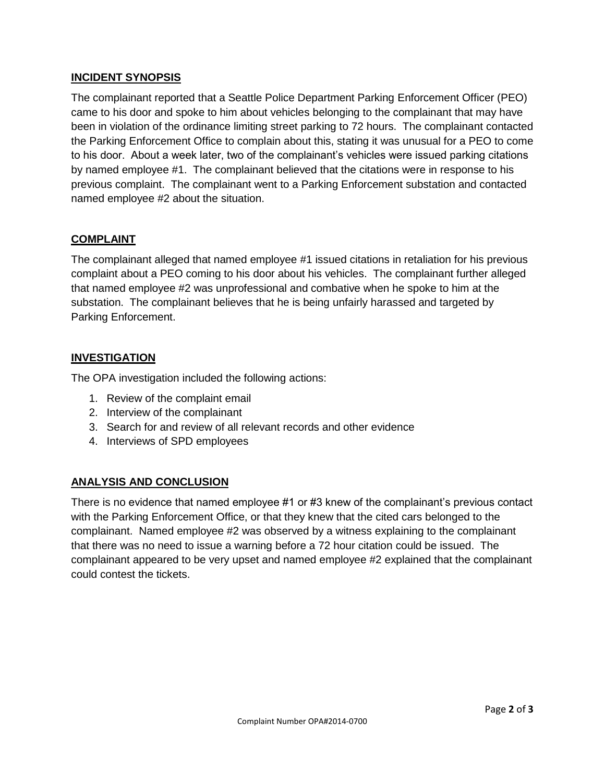## **INCIDENT SYNOPSIS**

The complainant reported that a Seattle Police Department Parking Enforcement Officer (PEO) came to his door and spoke to him about vehicles belonging to the complainant that may have been in violation of the ordinance limiting street parking to 72 hours. The complainant contacted the Parking Enforcement Office to complain about this, stating it was unusual for a PEO to come to his door. About a week later, two of the complainant's vehicles were issued parking citations by named employee #1. The complainant believed that the citations were in response to his previous complaint. The complainant went to a Parking Enforcement substation and contacted named employee #2 about the situation.

## **COMPLAINT**

The complainant alleged that named employee #1 issued citations in retaliation for his previous complaint about a PEO coming to his door about his vehicles. The complainant further alleged that named employee #2 was unprofessional and combative when he spoke to him at the substation. The complainant believes that he is being unfairly harassed and targeted by Parking Enforcement.

#### **INVESTIGATION**

The OPA investigation included the following actions:

- 1. Review of the complaint email
- 2. Interview of the complainant
- 3. Search for and review of all relevant records and other evidence
- 4. Interviews of SPD employees

# **ANALYSIS AND CONCLUSION**

There is no evidence that named employee #1 or #3 knew of the complainant's previous contact with the Parking Enforcement Office, or that they knew that the cited cars belonged to the complainant. Named employee #2 was observed by a witness explaining to the complainant that there was no need to issue a warning before a 72 hour citation could be issued. The complainant appeared to be very upset and named employee #2 explained that the complainant could contest the tickets.